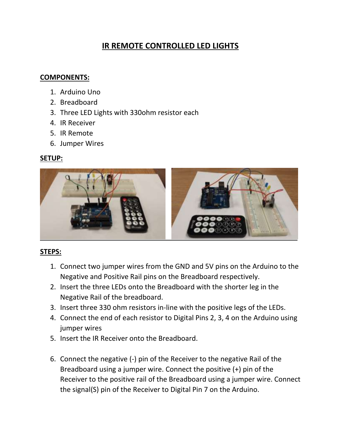# **IR REMOTE CONTROLLED LED LIGHTS**

#### **COMPONENTS:**

- 1. Arduino Uno
- 2. Breadboard
- 3. Three LED Lights with 330ohm resistor each
- 4. IR Receiver
- 5. IR Remote
- 6. Jumper Wires

# **SETUP:**



## **STEPS:**

- 1. Connect two jumper wires from the GND and 5V pins on the Arduino to the Negative and Positive Rail pins on the Breadboard respectively.
- 2. Insert the three LEDs onto the Breadboard with the shorter leg in the Negative Rail of the breadboard.
- 3. Insert three 330 ohm resistors in-line with the positive legs of the LEDs.
- 4. Connect the end of each resistor to Digital Pins 2, 3, 4 on the Arduino using jumper wires
- 5. Insert the IR Receiver onto the Breadboard.
- 6. Connect the negative (-) pin of the Receiver to the negative Rail of the Breadboard using a jumper wire. Connect the positive (+) pin of the Receiver to the positive rail of the Breadboard using a jumper wire. Connect the signal(S) pin of the Receiver to Digital Pin 7 on the Arduino.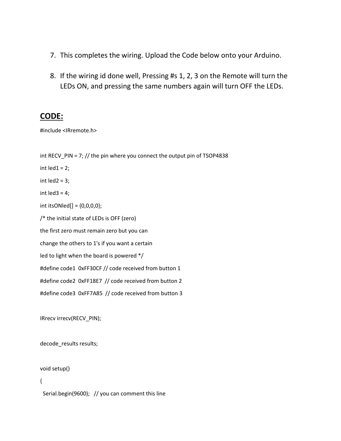- 7. This completes the wiring. Upload the Code below onto your Arduino.
- 8. If the wiring id done well, Pressing #s 1, 2, 3 on the Remote will turn the LEDs ON, and pressing the same numbers again will turn OFF the LEDs.

## **CODE:**

#include <IRremote.h>

int RECV\_PIN = 7; // the pin where you connect the output pin of TSOP4838

int  $\text{led }1 = 2$ ;

int  $\text{led }2 = 3$ ;

int led $3 = 4$ ;

int itsONled[] = {0,0,0,0};

/\* the initial state of LEDs is OFF (zero)

the first zero must remain zero but you can

change the others to 1's if you want a certain

led to light when the board is powered \*/

#define code1 0xFF30CF // code received from button 1

#define code2 0xFF18E7 // code received from button 2

#define code3 0xFF7A85 // code received from button 3

IRrecv irrecv(RECV\_PIN);

decode results results;

void setup()

{

Serial.begin(9600); // you can comment this line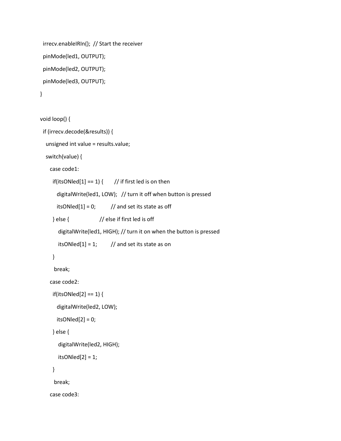```
 irrecv.enableIRIn(); // Start the receiver
 pinMode(led1, OUTPUT);
 pinMode(led2, OUTPUT);
 pinMode(led3, OUTPUT);
```

```
}
```

```
void loop() {
  if (irrecv.decode(&results)) {
   unsigned int value = results.value;
   switch(value) {
     case code1:
     if(itsONled[1] == 1) { \frac{1}{2} // if first led is on then
        digitalWrite(led1, LOW); // turn it off when button is pressed
       itsONled[1] = 0; // and set its state as off
      } else { // else if first led is off
        digitalWrite(led1, HIGH); // turn it on when the button is pressed
       itsONled[1] = 1; // and set its state as on
      }
      break; 
     case code2:
      if(itsONled[2] == 1) {
        digitalWrite(led2, LOW);
       itsONled[2] = 0; } else {
        digitalWrite(led2, HIGH);
       itsONled[2] = 1; }
      break;
     case code3:
```